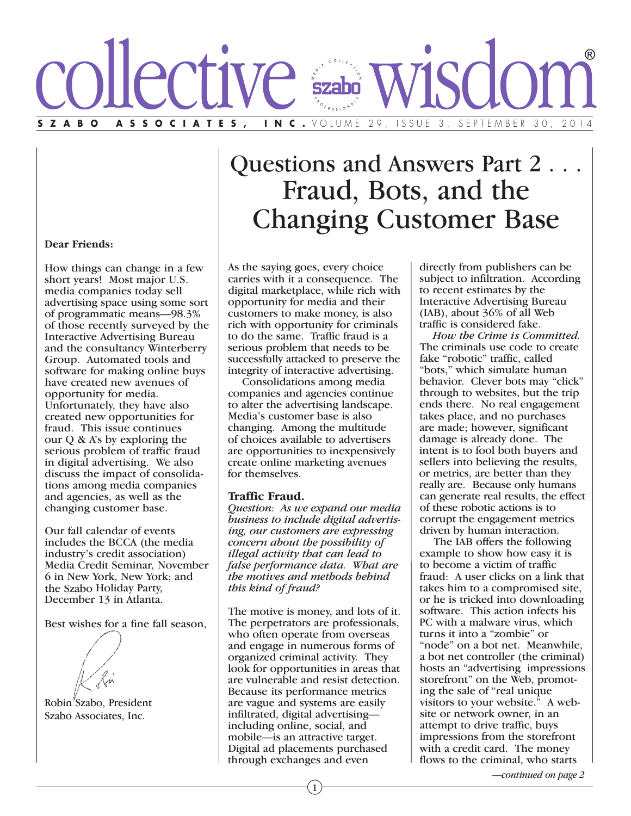# Ve <u>šzabo</u> ZABO ASSOCIATES, INC. VOLUME 29, ISSUE 3, SEPTEMBER 30,

## Questions and Answers Part 2 . . . Fraud, Bots, and the Changing Customer Base

### **Dear Friends:**

How things can change in a few short years! Most major U.S. media companies today sell advertising space using some sort of programmatic means—98.3% of those recently surveyed by the Interactive Advertising Bureau and the consultancy Winterberry Group. Automated tools and software for making online buys have created new avenues of opportunity for media. Unfortunately, they have also created new opportunities for fraud. This issue continues our Q & A's by exploring the serious problem of traffic fraud in digital advertising. We also discuss the impact of consolidations among media companies and agencies, as well as the changing customer base.

Our fall calendar of events includes the BCCA (the media industry's credit association) Media Credit Seminar, November 6 in New York, New York; and the Szabo Holiday Party, December 13 in Atlanta.

Best wishes for a fine fall season,

Robin<sup>'</sup>Szabo, President Szabo Associates, Inc.

As the saying goes, every choice carries with it a consequence. The digital marketplace, while rich with opportunity for media and their customers to make money, is also rich with opportunity for criminals to do the same. Traffic fraud is a serious problem that needs to be successfully attacked to preserve the integrity of interactive advertising.

 Consolidations among media companies and agencies continue to alter the advertising landscape. Media's customer base is also changing. Among the multitude of choices available to advertisers are opportunities to inexpensively create online marketing avenues for themselves.

### **Traffic Fraud.**

*Question: As we expand our media business to include digital advertising, our customers are expressing concern about the possibility of illegal activity that can lead to false performance data. What are the motives and methods behind this kind of fraud?*

The motive is money, and lots of it. The perpetrators are professionals, who often operate from overseas and engage in numerous forms of organized criminal activity. They look for opportunities in areas that are vulnerable and resist detection. Because its performance metrics are vague and systems are easily infiltrated, digital advertising including online, social, and mobile—is an attractive target. Digital ad placements purchased through exchanges and even

directly from publishers can be subject to infiltration. According to recent estimates by the Interactive Advertising Bureau (IAB), about 36% of all Web traffic is considered fake.

 *How the Crime is Committed.* The criminals use code to create fake "robotic" traffic, called "bots," which simulate human behavior. Clever bots may "click" through to websites, but the trip ends there. No real engagement takes place, and no purchases are made; however, significant damage is already done. The intent is to fool both buyers and sellers into believing the results, or metrics, are better than they really are. Because only humans can generate real results, the effect of these robotic actions is to corrupt the engagement metrics driven by human interaction.

 The IAB offers the following example to show how easy it is to become a victim of traffic fraud: A user clicks on a link that takes him to a compromised site, or he is tricked into downloading software. This action infects his PC with a malware virus, which turns it into a "zombie" or "node" on a bot net. Meanwhile, a bot net controller (the criminal) hosts an "advertising impressions storefront" on the Web, promoting the sale of "real unique visitors to your website." A website or network owner, in an attempt to drive traffic, buys impressions from the storefront with a credit card. The money flows to the criminal, who starts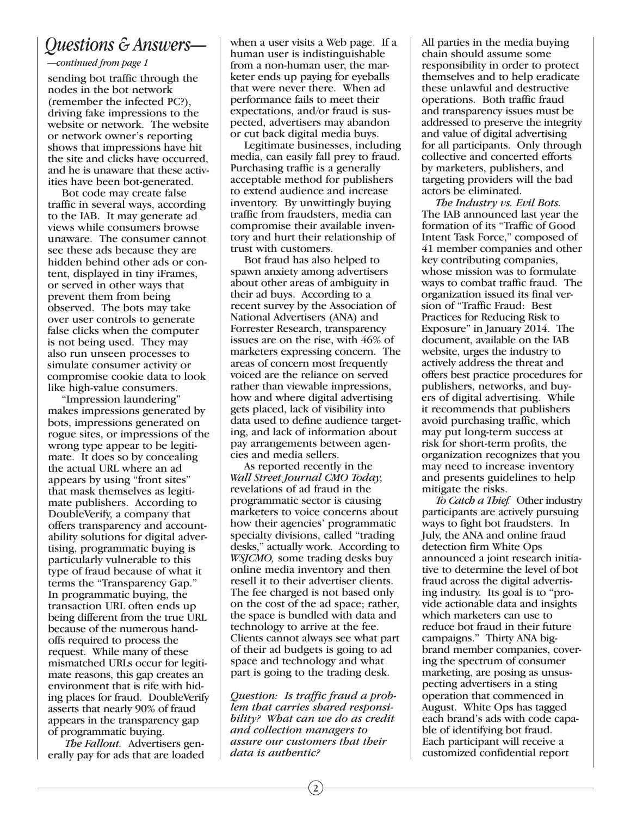### *Questions & Answers—*

### *—continued from page 1*

sending bot traffic through the nodes in the bot network (remember the infected PC?), driving fake impressions to the website or network. The website or network owner's reporting shows that impressions have hit the site and clicks have occurred, and he is unaware that these activities have been bot-generated.

 Bot code may create false traffic in several ways, according to the IAB. It may generate ad views while consumers browse unaware. The consumer cannot see these ads because they are hidden behind other ads or content, displayed in tiny iFrames, or served in other ways that prevent them from being observed. The bots may take over user controls to generate false clicks when the computer is not being used. They may also run unseen processes to simulate consumer activity or compromise cookie data to look like high-value consumers.

 "Impression laundering" makes impressions generated by bots, impressions generated on rogue sites, or impressions of the wrong type appear to be legitimate. It does so by concealing the actual URL where an ad appears by using "front sites" that mask themselves as legitimate publishers. According to DoubleVerify, a company that offers transparency and accountability solutions for digital advertising, programmatic buying is particularly vulnerable to this type of fraud because of what it terms the "Transparency Gap." In programmatic buying, the transaction URL often ends up being different from the true URL because of the numerous handoffs required to process the request. While many of these mismatched URLs occur for legitimate reasons, this gap creates an environment that is rife with hiding places for fraud. DoubleVerify asserts that nearly 90% of fraud appears in the transparency gap of programmatic buying.

 *The Fallout.* Advertisers generally pay for ads that are loaded when a user visits a Web page. If a human user is indistinguishable from a non-human user, the marketer ends up paying for eyeballs that were never there. When ad performance fails to meet their expectations, and/or fraud is suspected, advertisers may abandon or cut back digital media buys.

 Legitimate businesses, including media, can easily fall prey to fraud. Purchasing traffic is a generally acceptable method for publishers to extend audience and increase inventory. By unwittingly buying traffic from fraudsters, media can compromise their available inventory and hurt their relationship of trust with customers.

 Bot fraud has also helped to spawn anxiety among advertisers about other areas of ambiguity in their ad buys. According to a recent survey by the Association of National Advertisers (ANA) and Forrester Research, transparency issues are on the rise, with 46% of marketers expressing concern. The areas of concern most frequently voiced are the reliance on served rather than viewable impressions, how and where digital advertising gets placed, lack of visibility into data used to define audience targeting, and lack of information about pay arrangements between agencies and media sellers.

 As reported recently in the *Wall Street Journal CMO Today,* revelations of ad fraud in the programmatic sector is causing marketers to voice concerns about how their agencies' programmatic specialty divisions, called "trading desks," actually work. According to *WSJCMO,* some trading desks buy online media inventory and then resell it to their advertiser clients. The fee charged is not based only on the cost of the ad space; rather, the space is bundled with data and technology to arrive at the fee. Clients cannot always see what part of their ad budgets is going to ad space and technology and what part is going to the trading desk.

*Question: Is traffic fraud a problem that carries shared responsibility? What can we do as credit and collection managers to assure our customers that their data is authentic?*

All parties in the media buying chain should assume some responsibility in order to protect themselves and to help eradicate these unlawful and destructive operations. Both traffic fraud and transparency issues must be addressed to preserve the integrity and value of digital advertising for all participants. Only through collective and concerted efforts by marketers, publishers, and targeting providers will the bad actors be eliminated.

 *The Industry vs. Evil Bots.* The IAB announced last year the formation of its "Traffic of Good Intent Task Force," composed of 41 member companies and other key contributing companies, whose mission was to formulate ways to combat traffic fraud. The organization issued its final version of "Traffic Fraud: Best Practices for Reducing Risk to Exposure" in January 2014. The document, available on the IAB website, urges the industry to actively address the threat and offers best practice procedures for publishers, networks, and buyers of digital advertising. While it recommends that publishers avoid purchasing traffic, which may put long-term success at risk for short-term profits, the organization recognizes that you may need to increase inventory and presents guidelines to help mitigate the risks.

 *To Catch a Thief.* Other industry participants are actively pursuing ways to fight bot fraudsters. In July, the ANA and online fraud detection firm White Ops announced a joint research initiative to determine the level of bot fraud across the digital advertising industry. Its goal is to "provide actionable data and insights which marketers can use to reduce bot fraud in their future campaigns." Thirty ANA bigbrand member companies, covering the spectrum of consumer marketing, are posing as unsuspecting advertisers in a sting operation that commenced in August. White Ops has tagged each brand's ads with code capable of identifying bot fraud. Each participant will receive a customized confidential report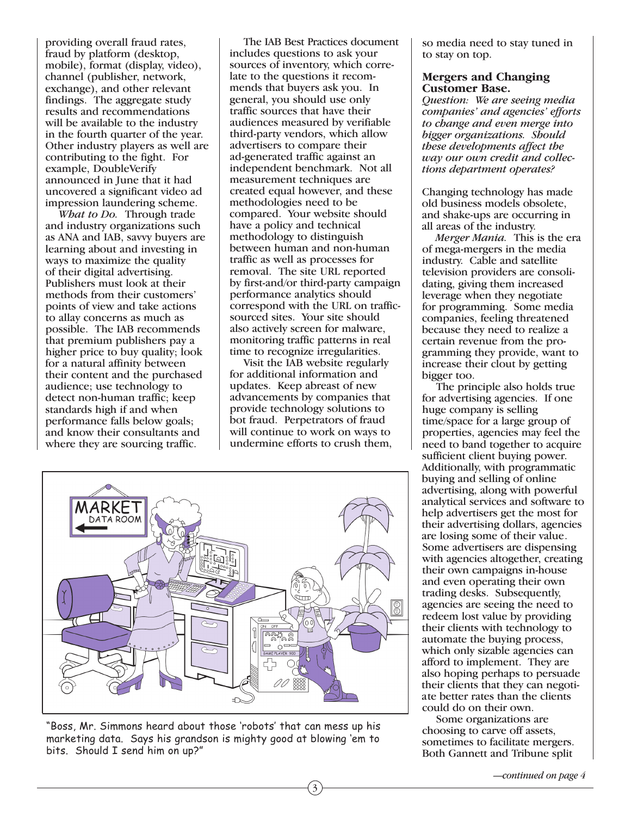providing overall fraud rates, fraud by platform (desktop, mobile), format (display, video), channel (publisher, network, exchange), and other relevant findings. The aggregate study results and recommendations will be available to the industry in the fourth quarter of the year. Other industry players as well are contributing to the fight. For example, DoubleVerify announced in June that it had uncovered a significant video ad impression laundering scheme.

 *What to Do.* Through trade and industry organizations such as ANA and IAB, savvy buyers are learning about and investing in ways to maximize the quality of their digital advertising. Publishers must look at their methods from their customers' points of view and take actions to allay concerns as much as possible. The IAB recommends that premium publishers pay a higher price to buy quality; look for a natural affinity between their content and the purchased audience; use technology to detect non-human traffic; keep standards high if and when performance falls below goals; and know their consultants and where they are sourcing traffic.

 The IAB Best Practices document includes questions to ask your sources of inventory, which correlate to the questions it recommends that buyers ask you. In general, you should use only traffic sources that have their audiences measured by verifiable third-party vendors, which allow advertisers to compare their ad-generated traffic against an independent benchmark. Not all measurement techniques are created equal however, and these methodologies need to be compared. Your website should have a policy and technical methodology to distinguish between human and non-human traffic as well as processes for removal. The site URL reported by first-and/or third-party campaign performance analytics should correspond with the URL on trafficsourced sites. Your site should also actively screen for malware, monitoring traffic patterns in real time to recognize irregularities.

 Visit the IAB website regularly for additional information and updates. Keep abreast of new advancements by companies that provide technology solutions to bot fraud. Perpetrators of fraud will continue to work on ways to undermine efforts to crush them,

3



"Boss, Mr. Simmons heard about those 'robots' that can mess up his marketing data. Says his grandson is mighty good at blowing 'em to bits. Should I send him on up?"

so media need to stay tuned in to stay on top.

### **Mergers and Changing Customer Base.**

*Question: We are seeing media companies' and agencies' efforts to change and even merge into bigger organizations. Should these developments affect the way our own credit and collections department operates?*

Changing technology has made old business models obsolete, and shake-ups are occurring in all areas of the industry.

 *Merger Mania.* This is the era of mega-mergers in the media industry. Cable and satellite television providers are consolidating, giving them increased leverage when they negotiate for programming. Some media companies, feeling threatened because they need to realize a certain revenue from the programming they provide, want to increase their clout by getting bigger too.

 The principle also holds true for advertising agencies. If one huge company is selling time/space for a large group of properties, agencies may feel the need to band together to acquire sufficient client buying power. Additionally, with programmatic buying and selling of online advertising, along with powerful analytical services and software to help advertisers get the most for their advertising dollars, agencies are losing some of their value. Some advertisers are dispensing with agencies altogether, creating their own campaigns in-house and even operating their own trading desks. Subsequently, agencies are seeing the need to redeem lost value by providing their clients with technology to automate the buying process, which only sizable agencies can afford to implement. They are also hoping perhaps to persuade their clients that they can negotiate better rates than the clients could do on their own.

 Some organizations are choosing to carve off assets, sometimes to facilitate mergers. Both Gannett and Tribune split